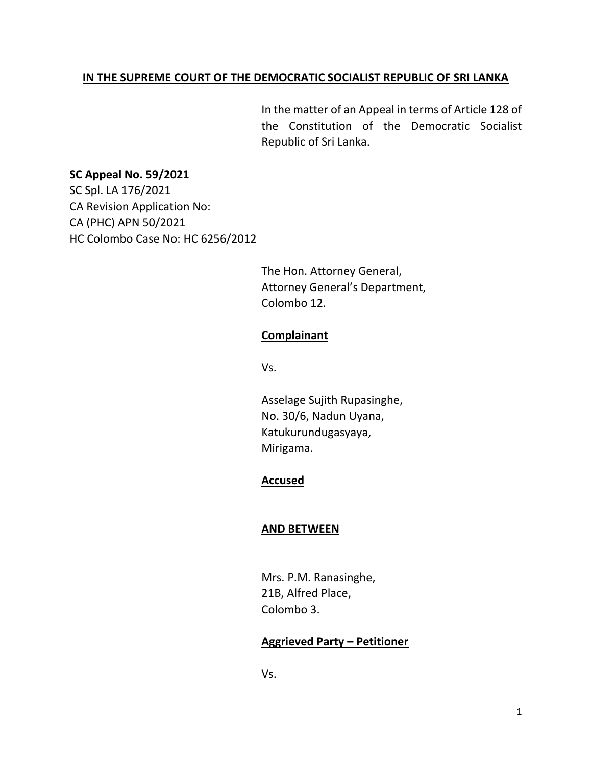### **IN THE SUPREME COURT OF THE DEMOCRATIC SOCIALIST REPUBLIC OF SRI LANKA**

In the matter of an Appeal in terms of Article 128 of the Constitution of the Democratic Socialist Republic of Sri Lanka.

### **SC Appeal No. 59/2021**

SC Spl. LA 176/2021 CA Revision Application No: CA (PHC) APN 50/2021 HC Colombo Case No: HC 6256/2012

> The Hon. Attorney General, Attorney General's Department, Colombo 12.

# **Complainant**

Vs.

Asselage Sujith Rupasinghe, No. 30/6, Nadun Uyana, Katukurundugasyaya, Mirigama.

## **Accused**

### **AND BETWEEN**

Mrs. P.M. Ranasinghe, 21B, Alfred Place, Colombo 3.

### **Aggrieved Party – Petitioner**

Vs.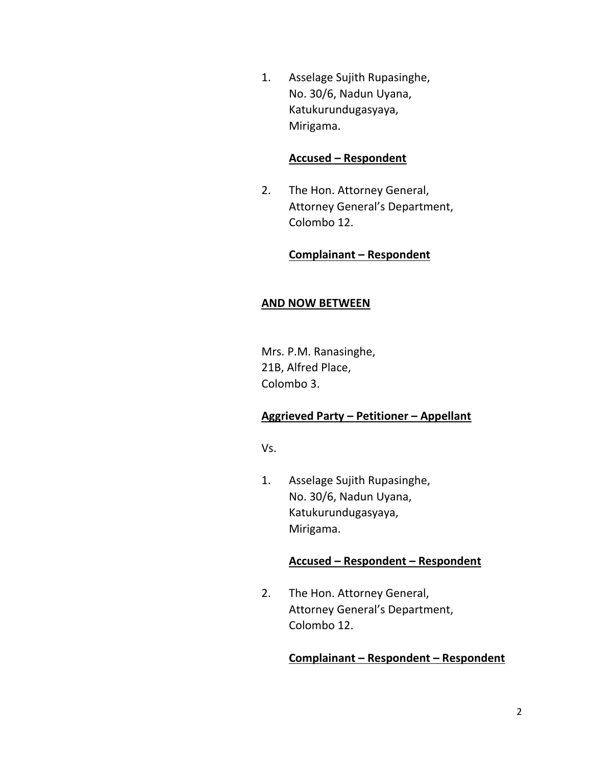1. Asselage Sujith Rupasinghe, No. 30/6, Nadun Uyana, Katukurundugasyaya, Mirigama.

### **Accused – Respondent**

2. The Hon. Attorney General, Attorney General's Department, Colombo 12.

### **Complainant – Respondent**

### **AND NOW BETWEEN**

Mrs. P.M. Ranasinghe, 21B, Alfred Place, Colombo 3.

## **Aggrieved Party – Petitioner – Appellant**

Vs.

1. Asselage Sujith Rupasinghe, No. 30/6, Nadun Uyana, Katukurundugasyaya, Mirigama.

### **Accused – Respondent – Respondent**

2. The Hon. Attorney General, Attorney General's Department, Colombo 12.

### **Complainant – Respondent – Respondent**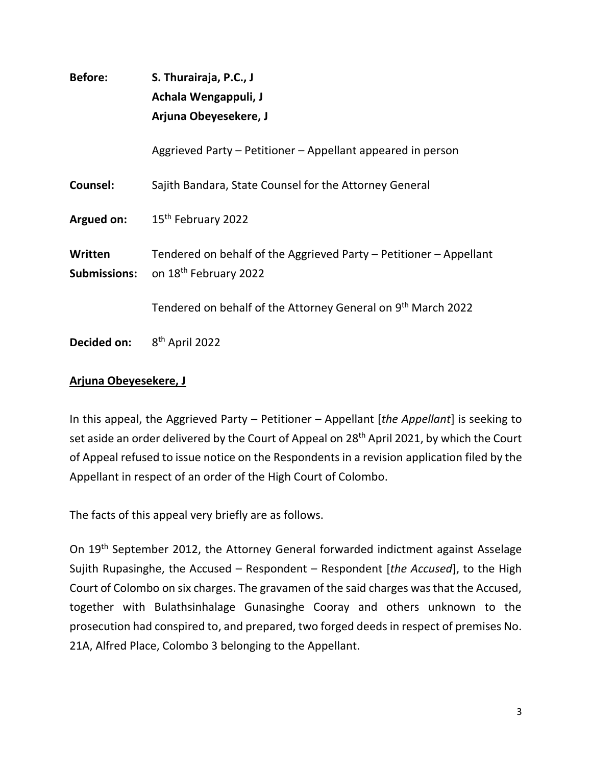| <b>Before:</b>                 | S. Thurairaja, P.C., J<br>Achala Wengappuli, J<br>Arjuna Obeyesekere, J                                 |
|--------------------------------|---------------------------------------------------------------------------------------------------------|
|                                | Aggrieved Party – Petitioner – Appellant appeared in person                                             |
| Counsel:                       | Sajith Bandara, State Counsel for the Attorney General                                                  |
| Argued on:                     | 15 <sup>th</sup> February 2022                                                                          |
| Written<br><b>Submissions:</b> | Tendered on behalf of the Aggrieved Party - Petitioner - Appellant<br>on 18 <sup>th</sup> February 2022 |
|                                | Tendered on behalf of the Attorney General on 9th March 2022                                            |
| Decided on:                    | 8 <sup>th</sup> April 2022                                                                              |

# **Arjuna Obeyesekere, J**

In this appeal, the Aggrieved Party – Petitioner – Appellant [*the Appellant*] is seeking to set aside an order delivered by the Court of Appeal on 28<sup>th</sup> April 2021, by which the Court of Appeal refused to issue notice on the Respondents in a revision application filed by the Appellant in respect of an order of the High Court of Colombo.

The facts of this appeal very briefly are as follows.

On 19<sup>th</sup> September 2012, the Attorney General forwarded indictment against Asselage Sujith Rupasinghe, the Accused – Respondent – Respondent [*the Accused*], to the High Court of Colombo on six charges. The gravamen of the said charges was that the Accused, together with Bulathsinhalage Gunasinghe Cooray and others unknown to the prosecution had conspired to, and prepared, two forged deeds in respect of premises No. 21A, Alfred Place, Colombo 3 belonging to the Appellant.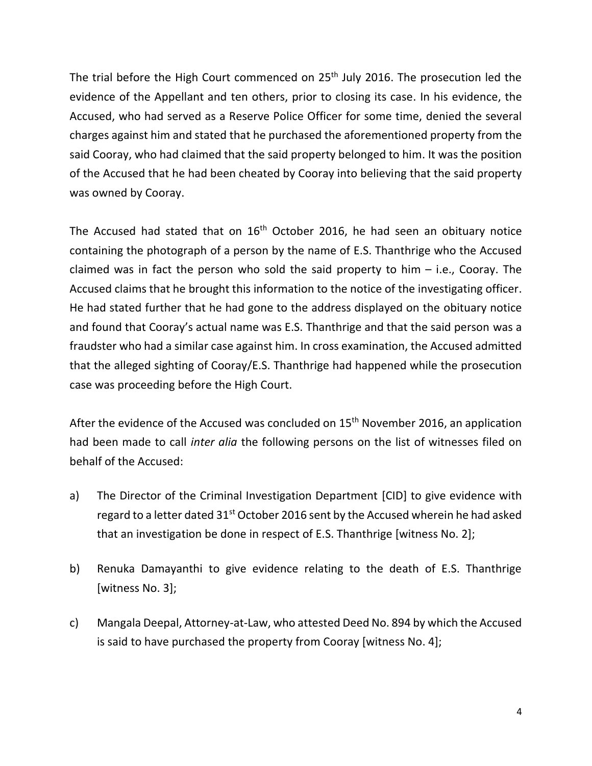The trial before the High Court commenced on 25<sup>th</sup> July 2016. The prosecution led the evidence of the Appellant and ten others, prior to closing its case. In his evidence, the Accused, who had served as a Reserve Police Officer for some time, denied the several charges against him and stated that he purchased the aforementioned property from the said Cooray, who had claimed that the said property belonged to him. It was the position of the Accused that he had been cheated by Cooray into believing that the said property was owned by Cooray.

The Accused had stated that on  $16<sup>th</sup>$  October 2016, he had seen an obituary notice containing the photograph of a person by the name of E.S. Thanthrige who the Accused claimed was in fact the person who sold the said property to him  $-$  i.e., Cooray. The Accused claims that he brought this information to the notice of the investigating officer. He had stated further that he had gone to the address displayed on the obituary notice and found that Cooray's actual name was E.S. Thanthrige and that the said person was a fraudster who had a similar case against him. In cross examination, the Accused admitted that the alleged sighting of Cooray/E.S. Thanthrige had happened while the prosecution case was proceeding before the High Court.

After the evidence of the Accused was concluded on 15<sup>th</sup> November 2016, an application had been made to call *inter alia* the following persons on the list of witnesses filed on behalf of the Accused:

- a) The Director of the Criminal Investigation Department [CID] to give evidence with regard to a letter dated  $31<sup>st</sup>$  October 2016 sent by the Accused wherein he had asked that an investigation be done in respect of E.S. Thanthrige [witness No. 2];
- b) Renuka Damayanthi to give evidence relating to the death of E.S. Thanthrige [witness No. 3];
- c) Mangala Deepal, Attorney-at-Law, who attested Deed No. 894 by which the Accused is said to have purchased the property from Cooray [witness No. 4];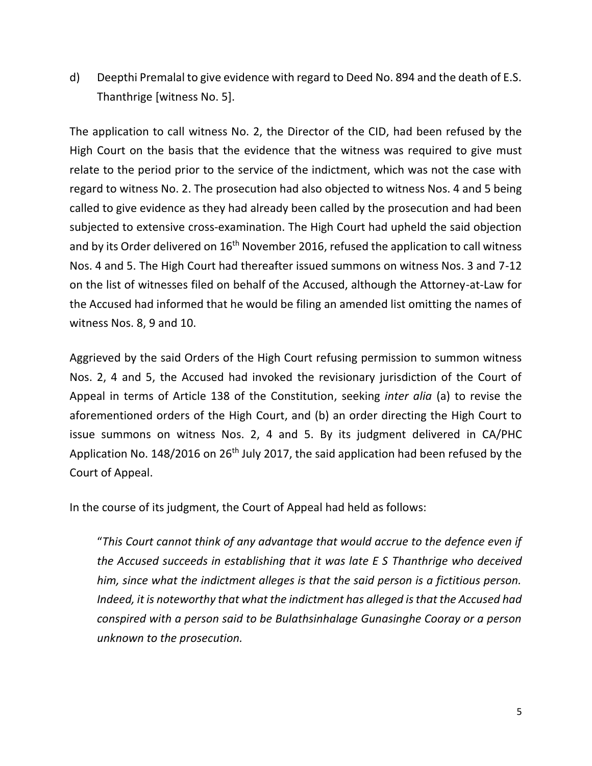d) Deepthi Premalal to give evidence with regard to Deed No. 894 and the death of E.S. Thanthrige [witness No. 5].

The application to call witness No. 2, the Director of the CID, had been refused by the High Court on the basis that the evidence that the witness was required to give must relate to the period prior to the service of the indictment, which was not the case with regard to witness No. 2. The prosecution had also objected to witness Nos. 4 and 5 being called to give evidence as they had already been called by the prosecution and had been subjected to extensive cross-examination. The High Court had upheld the said objection and by its Order delivered on  $16<sup>th</sup>$  November 2016, refused the application to call witness Nos. 4 and 5. The High Court had thereafter issued summons on witness Nos. 3 and 7-12 on the list of witnesses filed on behalf of the Accused, although the Attorney-at-Law for the Accused had informed that he would be filing an amended list omitting the names of witness Nos. 8, 9 and 10.

Aggrieved by the said Orders of the High Court refusing permission to summon witness Nos. 2, 4 and 5, the Accused had invoked the revisionary jurisdiction of the Court of Appeal in terms of Article 138 of the Constitution, seeking *inter alia* (a) to revise the aforementioned orders of the High Court, and (b) an order directing the High Court to issue summons on witness Nos. 2, 4 and 5. By its judgment delivered in CA/PHC Application No. 148/2016 on 26<sup>th</sup> July 2017, the said application had been refused by the Court of Appeal.

In the course of its judgment, the Court of Appeal had held as follows:

"*This Court cannot think of any advantage that would accrue to the defence even if the Accused succeeds in establishing that it was late E S Thanthrige who deceived him, since what the indictment alleges is that the said person is a fictitious person. Indeed, it is noteworthy that what the indictment has alleged is that the Accused had conspired with a person said to be Bulathsinhalage Gunasinghe Cooray or a person unknown to the prosecution.*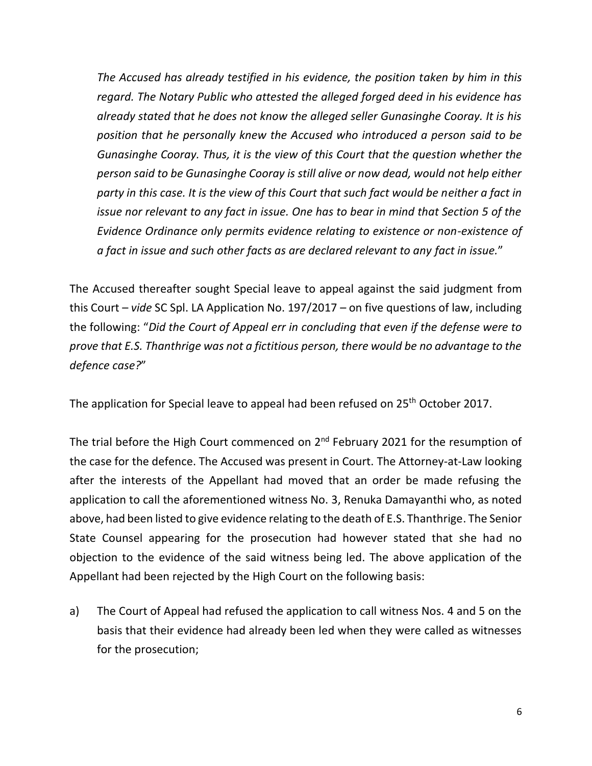*The Accused has already testified in his evidence, the position taken by him in this regard. The Notary Public who attested the alleged forged deed in his evidence has already stated that he does not know the alleged seller Gunasinghe Cooray. It is his position that he personally knew the Accused who introduced a person said to be Gunasinghe Cooray. Thus, it is the view of this Court that the question whether the person said to be Gunasinghe Cooray is still alive or now dead, would not help either party in this case. It is the view of this Court that such fact would be neither a fact in issue nor relevant to any fact in issue. One has to bear in mind that Section 5 of the Evidence Ordinance only permits evidence relating to existence or non-existence of a fact in issue and such other facts as are declared relevant to any fact in issue.*"

The Accused thereafter sought Special leave to appeal against the said judgment from this Court – *vide* SC Spl. LA Application No. 197/2017 – on five questions of law, including the following: "*Did the Court of Appeal err in concluding that even if the defense were to prove that E.S. Thanthrige was not a fictitious person, there would be no advantage to the defence case?*"

The application for Special leave to appeal had been refused on 25<sup>th</sup> October 2017.

The trial before the High Court commenced on 2<sup>nd</sup> February 2021 for the resumption of the case for the defence. The Accused was present in Court. The Attorney-at-Law looking after the interests of the Appellant had moved that an order be made refusing the application to call the aforementioned witness No. 3, Renuka Damayanthi who, as noted above, had been listed to give evidence relating to the death of E.S. Thanthrige. The Senior State Counsel appearing for the prosecution had however stated that she had no objection to the evidence of the said witness being led. The above application of the Appellant had been rejected by the High Court on the following basis:

a) The Court of Appeal had refused the application to call witness Nos. 4 and 5 on the basis that their evidence had already been led when they were called as witnesses for the prosecution;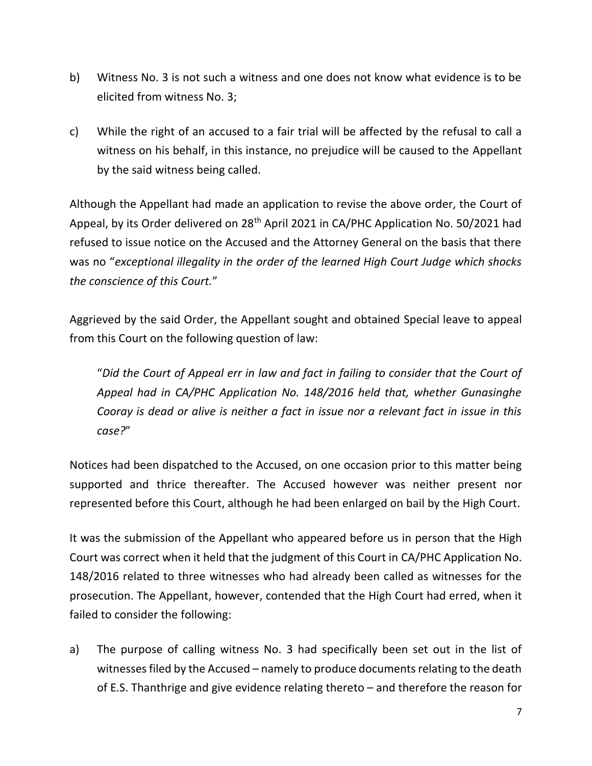- b) Witness No. 3 is not such a witness and one does not know what evidence is to be elicited from witness No. 3;
- c) While the right of an accused to a fair trial will be affected by the refusal to call a witness on his behalf, in this instance, no prejudice will be caused to the Appellant by the said witness being called.

Although the Appellant had made an application to revise the above order, the Court of Appeal, by its Order delivered on 28<sup>th</sup> April 2021 in CA/PHC Application No. 50/2021 had refused to issue notice on the Accused and the Attorney General on the basis that there was no "*exceptional illegality in the order of the learned High Court Judge which shocks the conscience of this Court.*"

Aggrieved by the said Order, the Appellant sought and obtained Special leave to appeal from this Court on the following question of law:

"*Did the Court of Appeal err in law and fact in failing to consider that the Court of Appeal had in CA/PHC Application No. 148/2016 held that, whether Gunasinghe Cooray is dead or alive is neither a fact in issue nor a relevant fact in issue in this case?*"

Notices had been dispatched to the Accused, on one occasion prior to this matter being supported and thrice thereafter. The Accused however was neither present nor represented before this Court, although he had been enlarged on bail by the High Court.

It was the submission of the Appellant who appeared before us in person that the High Court was correct when it held that the judgment of this Court in CA/PHC Application No. 148/2016 related to three witnesses who had already been called as witnesses for the prosecution. The Appellant, however, contended that the High Court had erred, when it failed to consider the following:

a) The purpose of calling witness No. 3 had specifically been set out in the list of witnesses filed by the Accused – namely to produce documents relating to the death of E.S. Thanthrige and give evidence relating thereto – and therefore the reason for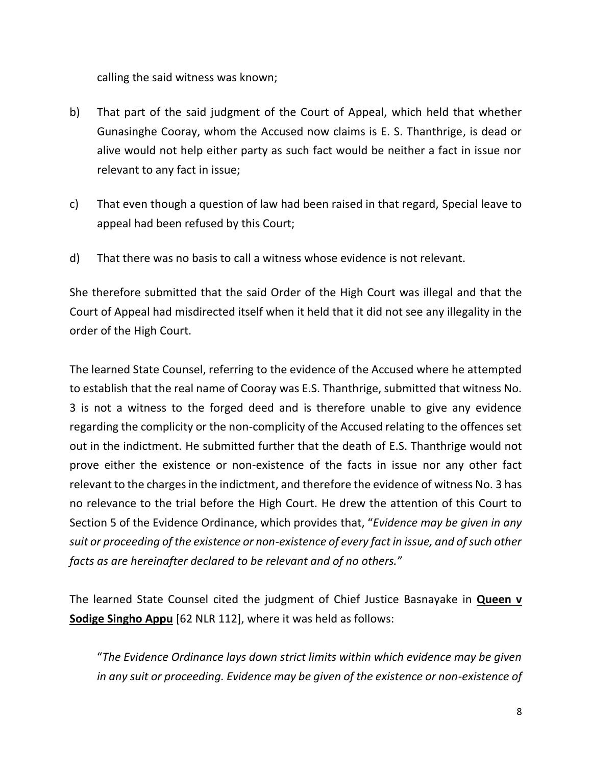calling the said witness was known;

- b) That part of the said judgment of the Court of Appeal, which held that whether Gunasinghe Cooray, whom the Accused now claims is E. S. Thanthrige, is dead or alive would not help either party as such fact would be neither a fact in issue nor relevant to any fact in issue;
- c) That even though a question of law had been raised in that regard, Special leave to appeal had been refused by this Court;
- d) That there was no basis to call a witness whose evidence is not relevant.

She therefore submitted that the said Order of the High Court was illegal and that the Court of Appeal had misdirected itself when it held that it did not see any illegality in the order of the High Court.

The learned State Counsel, referring to the evidence of the Accused where he attempted to establish that the real name of Cooray was E.S. Thanthrige, submitted that witness No. 3 is not a witness to the forged deed and is therefore unable to give any evidence regarding the complicity or the non-complicity of the Accused relating to the offences set out in the indictment. He submitted further that the death of E.S. Thanthrige would not prove either the existence or non-existence of the facts in issue nor any other fact relevant to the charges in the indictment, and therefore the evidence of witness No. 3 has no relevance to the trial before the High Court. He drew the attention of this Court to Section 5 of the Evidence Ordinance, which provides that, "*Evidence may be given in any suit or proceeding of the existence or non-existence of every fact in issue, and of such other facts as are hereinafter declared to be relevant and of no others.*"

The learned State Counsel cited the judgment of Chief Justice Basnayake in **Queen v Sodige Singho Appu** [62 NLR 112], where it was held as follows:

"*The Evidence Ordinance lays down strict limits within which evidence may be given in any suit or proceeding. Evidence may be given of the existence or non-existence of*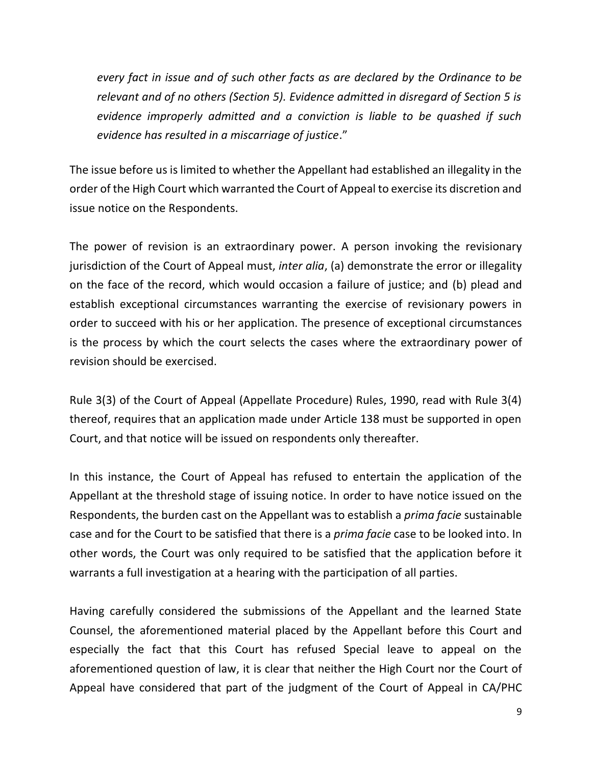*every fact in issue and of such other facts as are declared by the Ordinance to be relevant and of no others (Section 5). Evidence admitted in disregard of Section 5 is evidence improperly admitted and a conviction is liable to be quashed if such evidence has resulted in a miscarriage of justice*."

The issue before us is limited to whether the Appellant had established an illegality in the order of the High Court which warranted the Court of Appeal to exercise its discretion and issue notice on the Respondents.

The power of revision is an extraordinary power. A person invoking the revisionary jurisdiction of the Court of Appeal must, *inter alia*, (a) demonstrate the error or illegality on the face of the record, which would occasion a failure of justice; and (b) plead and establish exceptional circumstances warranting the exercise of revisionary powers in order to succeed with his or her application. The presence of exceptional circumstances is the process by which the court selects the cases where the extraordinary power of revision should be exercised.

Rule 3(3) of the Court of Appeal (Appellate Procedure) Rules, 1990, read with Rule 3(4) thereof, requires that an application made under Article 138 must be supported in open Court, and that notice will be issued on respondents only thereafter.

In this instance, the Court of Appeal has refused to entertain the application of the Appellant at the threshold stage of issuing notice. In order to have notice issued on the Respondents, the burden cast on the Appellant was to establish a *prima facie* sustainable case and for the Court to be satisfied that there is a *prima facie* case to be looked into. In other words, the Court was only required to be satisfied that the application before it warrants a full investigation at a hearing with the participation of all parties.

Having carefully considered the submissions of the Appellant and the learned State Counsel, the aforementioned material placed by the Appellant before this Court and especially the fact that this Court has refused Special leave to appeal on the aforementioned question of law, it is clear that neither the High Court nor the Court of Appeal have considered that part of the judgment of the Court of Appeal in CA/PHC